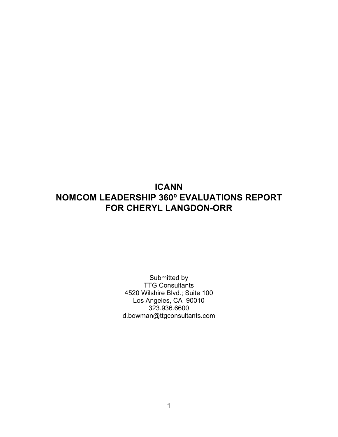# **ICANN NOMCOM LEADERSHIP 360⁰ EVALUATIONS REPORT FOR CHERYL LANGDON-ORR**

Submitted by TTG Consultants 4520 Wilshire Blvd.; Suite 100 Los Angeles, CA 90010 323.936.6600 d.bowman@ttgconsultants.com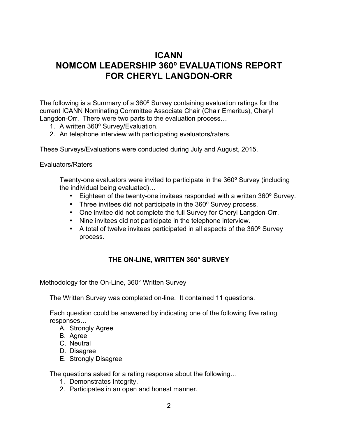# **ICANN NOMCOM LEADERSHIP 360⁰ EVALUATIONS REPORT FOR CHERYL LANGDON-ORR**

The following is a Summary of a 360° Survey containing evaluation ratings for the current ICANN Nominating Committee Associate Chair (Chair Emeritus), Cheryl Langdon-Orr. There were two parts to the evaluation process…

- 1. A written 360° Survey/Evaluation.
- 2. An telephone interview with participating evaluators/raters.

These Surveys/Evaluations were conducted during July and August, 2015.

#### Evaluators/Raters

Twenty-one evaluators were invited to participate in the 360° Survey (including the individual being evaluated)…

- Eighteen of the twenty-one invitees responded with a written 360° Survey.
- Three invitees did not participate in the 360° Survey process.
- One invitee did not complete the full Survey for Cheryl Langdon-Orr.
- Nine invitees did not participate in the telephone interview.
- A total of twelve invitees participated in all aspects of the 360° Survey process.

## **THE ON-LINE, WRITTEN 360° SURVEY**

## Methodology for the On-Line, 360° Written Survey

The Written Survey was completed on-line. It contained 11 questions.

Each question could be answered by indicating one of the following five rating responses…

- A. Strongly Agree
- B. Agree
- C. Neutral
- D. Disagree
- E. Strongly Disagree

The questions asked for a rating response about the following…

- 1. Demonstrates Integrity.
- 2. Participates in an open and honest manner.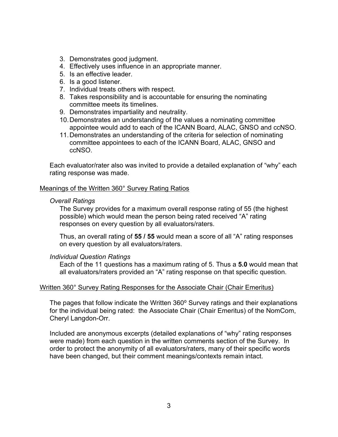- 3. Demonstrates good judgment.
- 4. Effectively uses influence in an appropriate manner.
- 5. Is an effective leader.
- 6. Is a good listener.
- 7. Individual treats others with respect.
- 8. Takes responsibility and is accountable for ensuring the nominating committee meets its timelines.
- 9. Demonstrates impartiality and neutrality.
- 10.Demonstrates an understanding of the values a nominating committee appointee would add to each of the ICANN Board, ALAC, GNSO and ccNSO.
- 11.Demonstrates an understanding of the criteria for selection of nominating committee appointees to each of the ICANN Board, ALAC, GNSO and ccNSO.

Each evaluator/rater also was invited to provide a detailed explanation of "why" each rating response was made.

#### Meanings of the Written 360° Survey Rating Ratios

#### *Overall Ratings*

The Survey provides for a maximum overall response rating of 55 (the highest possible) which would mean the person being rated received "A" rating responses on every question by all evaluators/raters.

Thus, an overall rating of **55 / 55** would mean a score of all "A" rating responses on every question by all evaluators/raters.

#### *Individual Question Ratings*

Each of the 11 questions has a maximum rating of 5. Thus a **5.0** would mean that all evaluators/raters provided an "A" rating response on that specific question.

#### Written 360° Survey Rating Responses for the Associate Chair (Chair Emeritus)

The pages that follow indicate the Written 360° Survey ratings and their explanations for the individual being rated: the Associate Chair (Chair Emeritus) of the NomCom, Cheryl Langdon-Orr.

Included are anonymous excerpts (detailed explanations of "why" rating responses were made) from each question in the written comments section of the Survey. In order to protect the anonymity of all evaluators/raters, many of their specific words have been changed, but their comment meanings/contexts remain intact.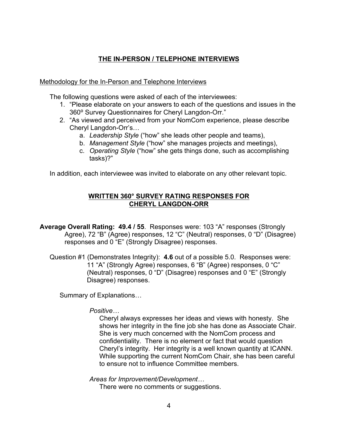## **THE IN-PERSON / TELEPHONE INTERVIEWS**

## Methodology for the In-Person and Telephone Interviews

The following questions were asked of each of the interviewees:

- 1. "Please elaborate on your answers to each of the questions and issues in the 360° Survey Questionnaires for Cheryl Langdon-Orr."
- 2. "As viewed and perceived from your NomCom experience, please describe Cheryl Langdon-Orr's…
	- a. *Leadership Style* ("how" she leads other people and teams),
	- b. *Management Style* ("how" she manages projects and meetings),
	- c. *Operating Style* ("how" she gets things done, such as accomplishing tasks)?"

In addition, each interviewee was invited to elaborate on any other relevant topic.

## **WRITTEN 360° SURVEY RATING RESPONSES FOR CHERYL LANGDON-ORR**

**Average Overall Rating: 49.4 / 55**.Responses were: 103 "A" responses (Strongly Agree), 72 "B" (Agree) responses, 12 "C" (Neutral) responses, 0 "D" (Disagree) responses and 0 "E" (Strongly Disagree) responses.

Question #1 (Demonstrates Integrity): **4.6** out of a possible 5.0. Responses were: 11 "A" (Strongly Agree) responses, 6 "B" (Agree) responses, 0 "C" (Neutral) responses, 0 "D" (Disagree) responses and 0 "E" (Strongly Disagree) responses.

Summary of Explanations…

## *Positive…*

Cheryl always expresses her ideas and views with honesty. She shows her integrity in the fine job she has done as Associate Chair. She is very much concerned with the NomCom process and confidentiality. There is no element or fact that would question Cheryl's integrity. Her integrity is a well known quantity at ICANN. While supporting the current NomCom Chair, she has been careful to ensure not to influence Committee members.

*Areas for Improvement/Development…*

There were no comments or suggestions.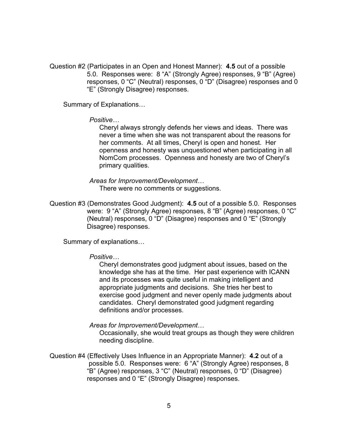Question #2 (Participates in an Open and Honest Manner): **4.5** out of a possible 5.0. Responses were: 8 "A" (Strongly Agree) responses, 9 "B" (Agree) responses, 0 "C" (Neutral) responses, 0 "D" (Disagree) responses and 0 "E" (Strongly Disagree) responses.

Summary of Explanations…

*Positive…*

Cheryl always strongly defends her views and ideas. There was never a time when she was not transparent about the reasons for her comments. At all times, Cheryl is open and honest. Her openness and honesty was unquestioned when participating in all NomCom processes. Openness and honesty are two of Cheryl's primary qualities.

*Areas for Improvement/Development*… There were no comments or suggestions.

Question #3 (Demonstrates Good Judgment): **4.5** out of a possible 5.0. Responses were: 9 "A" (Strongly Agree) responses, 8 "B" (Agree) responses, 0 "C" (Neutral) responses, 0 "D" (Disagree) responses and 0 "E" (Strongly Disagree) responses.

Summary of explanations…

#### *Positive…*

Cheryl demonstrates good judgment about issues, based on the knowledge she has at the time. Her past experience with ICANN and its processes was quite useful in making intelligent and appropriate judgments and decisions. She tries her best to exercise good judgment and never openly made judgments about candidates. Cheryl demonstrated good judgment regarding definitions and/or processes.

*Areas for Improvement/Development*…

Occasionally, she would treat groups as though they were children needing discipline.

Question #4 (Effectively Uses Influence in an Appropriate Manner): **4.2** out of a possible 5.0. Responses were: 6 "A" (Strongly Agree) responses, 8 "B" (Agree) responses, 3 "C" (Neutral) responses, 0 "D" (Disagree) responses and 0 "E" (Strongly Disagree) responses.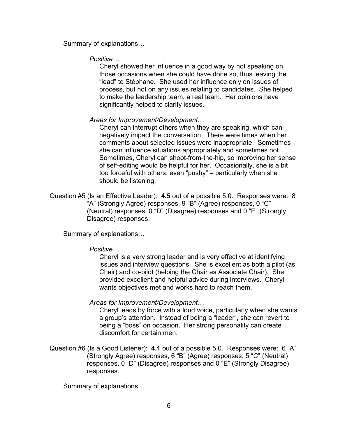Summary of explanations…

*Positive…*

Cheryl showed her influence in a good way by not speaking on those occasions when she could have done so, thus leaving the "lead" to Stéphane. She used her influence only on issues of process, but not on any issues relating to candidates. She helped to make the leadership team, a real team. Her opinions have significantly helped to clarify issues.

#### *Areas for Improvement/Development*…

Cheryl can interrupt others when they are speaking, which can negatively impact the conversation. There were times when her comments about selected issues were inappropriate. Sometimes she can influence situations appropriately and sometimes not. Sometimes, Cheryl can shoot-from-the-hip, so improving her sense of self-editing would be helpful for her. Occasionally, she is a bit too forceful with others, even "pushy" – particularly when she should be listening.

Question #5 (Is an Effective Leader): **4.5** out of a possible 5.0. Responses were: 8 "A" (Strongly Agree) responses, 9 "B" (Agree) responses, 0 "C" (Neutral) responses, 0 "D" (Disagree) responses and 0 "E" (Strongly Disagree) responses.

Summary of explanations…

#### *Positive…*

Cheryl is a very strong leader and is very effective at identifying issues and interview questions. She is excellent as both a pilot (as Chair) and co-pilot (helping the Chair as Associate Chair). She provided excellent and helpful advice during interviews. Cheryl wants objectives met and works hard to reach them.

#### *Areas for Improvement/Development*…

Cheryl leads by force with a loud voice, particularly when she wants a group's attention. Instead of being a "leader", she can revert to being a "boss" on occasion. Her strong personality can create discomfort for certain men.

Question #6 (Is a Good Listener): **4.1** out of a possible 5.0. Responses were: 6 "A" (Strongly Agree) responses, 6 "B" (Agree) responses, 5 "C" (Neutral) responses, 0 "D" (Disagree) responses and 0 "E" (Strongly Disagree) responses.

Summary of explanations…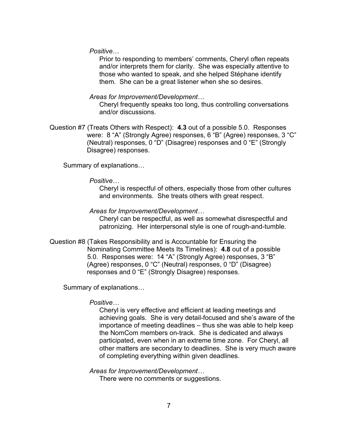*Positive*…

Prior to responding to members' comments, Cheryl often repeats and/or interprets them for clarity. She was especially attentive to those who wanted to speak, and she helped Stéphane identify them. She can be a great listener when she so desires.

#### *Areas for Improvement/Development…*

Cheryl frequently speaks too long, thus controlling conversations and/or discussions.

Question #7 (Treats Others with Respect): **4.3** out of a possible 5.0. Responses were: 8 "A" (Strongly Agree) responses, 6 "B" (Agree) responses, 3 "C" (Neutral) responses, 0 "D" (Disagree) responses and 0 "E" (Strongly Disagree) responses.

Summary of explanations…

#### *Positive…*

Cheryl is respectful of others, especially those from other cultures and environments. She treats others with great respect.

#### *Areas for Improvement/Development…*

Cheryl can be respectful, as well as somewhat disrespectful and patronizing. Her interpersonal style is one of rough-and-tumble.

Question #8 (Takes Responsibility and is Accountable for Ensuring the Nominating Committee Meets Its Timelines): **4.8** out of a possible 5.0. Responses were: 14 "A" (Strongly Agree) responses, 3 "B" (Agree) responses, 0 "C" (Neutral) responses, 0 "D" (Disagree) responses and 0 "E" (Strongly Disagree) responses.

Summary of explanations…

#### *Positive…*

Cheryl is very effective and efficient at leading meetings and achieving goals. She is very detail-focused and she's aware of the importance of meeting deadlines – thus she was able to help keep the NomCom members on-track. She is dedicated and always participated, even when in an extreme time zone. For Cheryl, all other matters are secondary to deadlines. She is very much aware of completing everything within given deadlines.

*Areas for Improvement/Development…*

There were no comments or suggestions.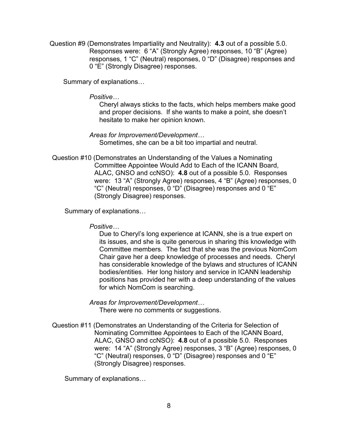Question #9 (Demonstrates Impartiality and Neutrality): **4.3** out of a possible 5.0. Responses were: 6 "A" (Strongly Agree) responses, 10 "B" (Agree) responses, 1 "C" (Neutral) responses, 0 "D" (Disagree) responses and 0 "E" (Strongly Disagree) responses.

Summary of explanations…

#### *Positive…*

Cheryl always sticks to the facts, which helps members make good and proper decisions. If she wants to make a point, she doesn't hesitate to make her opinion known.

*Areas for Improvement/Development…* Sometimes, she can be a bit too impartial and neutral.

Question #10 (Demonstrates an Understanding of the Values a Nominating Committee Appointee Would Add to Each of the ICANN Board, ALAC, GNSO and ccNSO): **4.8** out of a possible 5.0. Responses were: 13 "A" (Strongly Agree) responses, 4 "B" (Agree) responses, 0 "C" (Neutral) responses, 0 "D" (Disagree) responses and 0 "E" (Strongly Disagree) responses.

Summary of explanations…

*Positive…*

Due to Cheryl's long experience at ICANN, she is a true expert on its issues, and she is quite generous in sharing this knowledge with Committee members. The fact that she was the previous NomCom Chair gave her a deep knowledge of processes and needs. Cheryl has considerable knowledge of the bylaws and structures of ICANN bodies/entities. Her long history and service in ICANN leadership positions has provided her with a deep understanding of the values for which NomCom is searching.

*Areas for Improvement/Development…* There were no comments or suggestions.

Question #11 (Demonstrates an Understanding of the Criteria for Selection of Nominating Committee Appointees to Each of the ICANN Board, ALAC, GNSO and ccNSO): **4.8** out of a possible 5.0. Responses were: 14 "A" (Strongly Agree) responses, 3 "B" (Agree) responses, 0 "C" (Neutral) responses, 0 "D" (Disagree) responses and 0 "E" (Strongly Disagree) responses.

Summary of explanations…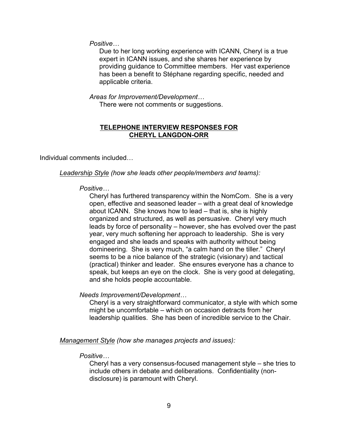*Positive…*

Due to her long working experience with ICANN, Cheryl is a true expert in ICANN issues, and she shares her experience by providing guidance to Committee members. Her vast experience has been a benefit to Stéphane regarding specific, needed and applicable criteria.

*Areas for Improvement/Development…*

There were not comments or suggestions.

## **TELEPHONE INTERVIEW RESPONSES FOR CHERYL LANGDON-ORR**

Individual comments included…

*Leadership Style (how she leads other people/members and teams):*

## *Positive…*

Cheryl has furthered transparency within the NomCom. She is a very open, effective and seasoned leader – with a great deal of knowledge about ICANN. She knows how to lead – that is, she is highly organized and structured, as well as persuasive. Cheryl very much leads by force of personality – however, she has evolved over the past year, very much softening her approach to leadership. She is very engaged and she leads and speaks with authority without being domineering. She is very much, "a calm hand on the tiller." Cheryl seems to be a nice balance of the strategic (visionary) and tactical (practical) thinker and leader. She ensures everyone has a chance to speak, but keeps an eye on the clock. She is very good at delegating, and she holds people accountable.

*Needs Improvement/Development…*

Cheryl is a very straightforward communicator, a style with which some might be uncomfortable – which on occasion detracts from her leadership qualities. She has been of incredible service to the Chair.

*Management Style (how she manages projects and issues):*

## *Positive…*

Cheryl has a very consensus-focused management style – she tries to include others in debate and deliberations. Confidentiality (nondisclosure) is paramount with Cheryl.